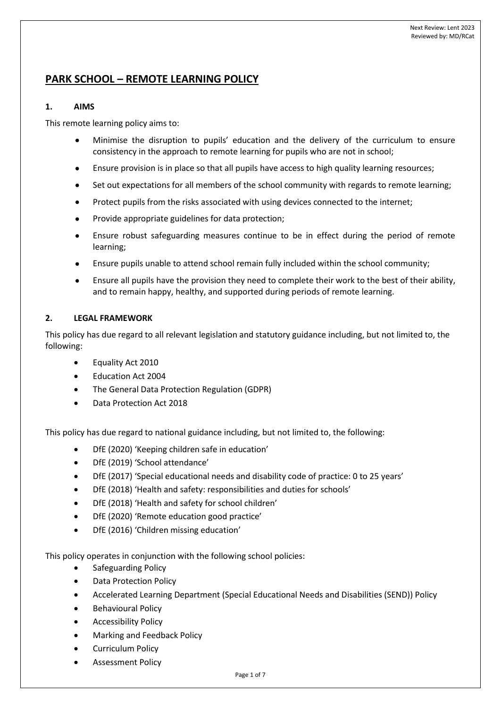# **PARK SCHOOL – REMOTE LEARNING POLICY**

# **1. AIMS**

This remote learning policy aims to:

- Minimise the disruption to pupils' education and the delivery of the curriculum to ensure consistency in the approach to remote learning for pupils who are not in school;
- Ensure provision is in place so that all pupils have access to high quality learning resources;
- Set out expectations for all members of the school community with regards to remote learning;
- Protect pupils from the risks associated with using devices connected to the internet;
- Provide appropriate guidelines for data protection;
- Ensure robust safeguarding measures continue to be in effect during the period of remote learning;
- Ensure pupils unable to attend school remain fully included within the school community;
- Ensure all pupils have the provision they need to complete their work to the best of their ability, and to remain happy, healthy, and supported during periods of remote learning.

# **2. LEGAL FRAMEWORK**

This policy has due regard to all relevant legislation and statutory guidance including, but not limited to, the following:

- Equality Act 2010
- Education Act 2004
- The General Data Protection Regulation (GDPR)
- Data Protection Act 2018

This policy has due regard to national guidance including, but not limited to, the following:

- DfE (2020) 'Keeping children safe in education'
- DfE (2019) 'School attendance'
- DfE (2017) 'Special educational needs and disability code of practice: 0 to 25 years'
- DfE (2018) 'Health and safety: responsibilities and duties for schools'
- DfE (2018) 'Health and safety for school children'
- DfE (2020) 'Remote education good practice'
- DfE (2016) 'Children missing education'

This policy operates in conjunction with the following school policies:

- Safeguarding Policy
- Data Protection Policy
- Accelerated Learning Department (Special Educational Needs and Disabilities (SEND)) Policy
- Behavioural Policy
- Accessibility Policy
- Marking and Feedback Policy
- Curriculum Policy
- Assessment Policy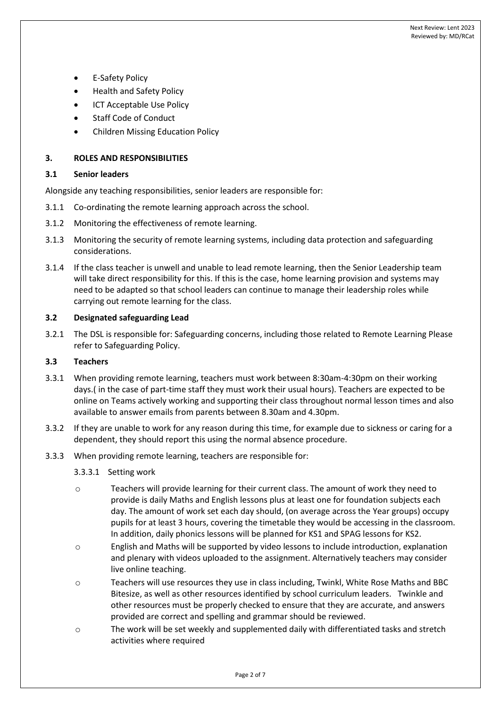- **E-Safety Policy**
- Health and Safety Policy
- **ICT Acceptable Use Policy**
- Staff Code of Conduct
- Children Missing Education Policy

#### **3. ROLES AND RESPONSIBILITIES**

#### **3.1 Senior leaders**

Alongside any teaching responsibilities, senior leaders are responsible for:

- 3.1.1 Co-ordinating the remote learning approach across the school.
- 3.1.2 Monitoring the effectiveness of remote learning.
- 3.1.3 Monitoring the security of remote learning systems, including data protection and safeguarding considerations.
- 3.1.4 If the class teacher is unwell and unable to lead remote learning, then the Senior Leadership team will take direct responsibility for this. If this is the case, home learning provision and systems may need to be adapted so that school leaders can continue to manage their leadership roles while carrying out remote learning for the class.

#### **3.2 Designated safeguarding Lead**

3.2.1 The DSL is responsible for: Safeguarding concerns, including those related to Remote Learning Please refer to Safeguarding Policy.

#### **3.3 Teachers**

- 3.3.1 When providing remote learning, teachers must work between 8:30am-4:30pm on their working days.( in the case of part-time staff they must work their usual hours). Teachers are expected to be online on Teams actively working and supporting their class throughout normal lesson times and also available to answer emails from parents between 8.30am and 4.30pm.
- 3.3.2 If they are unable to work for any reason during this time, for example due to sickness or caring for a dependent, they should report this using the normal absence procedure.
- 3.3.3 When providing remote learning, teachers are responsible for:

#### 3.3.3.1 Setting work

- o Teachers will provide learning for their current class. The amount of work they need to provide is daily Maths and English lessons plus at least one for foundation subjects each day. The amount of work set each day should, (on average across the Year groups) occupy pupils for at least 3 hours, covering the timetable they would be accessing in the classroom. In addition, daily phonics lessons will be planned for KS1 and SPAG lessons for KS2.
- o English and Maths will be supported by video lessons to include introduction, explanation and plenary with videos uploaded to the assignment. Alternatively teachers may consider live online teaching.
- o Teachers will use resources they use in class including, Twinkl, White Rose Maths and BBC Bitesize, as well as other resources identified by school curriculum leaders. Twinkle and other resources must be properly checked to ensure that they are accurate, and answers provided are correct and spelling and grammar should be reviewed.
- o The work will be set weekly and supplemented daily with differentiated tasks and stretch activities where required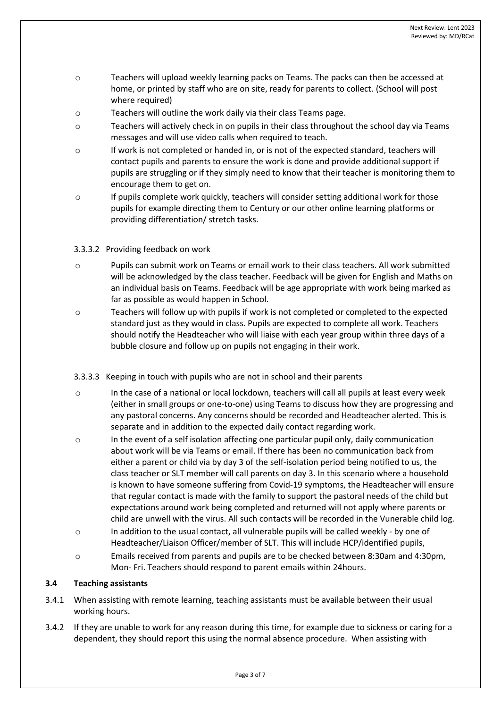- o Teachers will upload weekly learning packs on Teams. The packs can then be accessed at home, or printed by staff who are on site, ready for parents to collect. (School will post where required)
- o Teachers will outline the work daily via their class Teams page.
- o Teachers will actively check in on pupils in their class throughout the school day via Teams messages and will use video calls when required to teach.
- o If work is not completed or handed in, or is not of the expected standard, teachers will contact pupils and parents to ensure the work is done and provide additional support if pupils are struggling or if they simply need to know that their teacher is monitoring them to encourage them to get on.
- o If pupils complete work quickly, teachers will consider setting additional work for those pupils for example directing them to Century or our other online learning platforms or providing differentiation/ stretch tasks.

### 3.3.3.2 Providing feedback on work

- o Pupils can submit work on Teams or email work to their class teachers. All work submitted will be acknowledged by the class teacher. Feedback will be given for English and Maths on an individual basis on Teams. Feedback will be age appropriate with work being marked as far as possible as would happen in School.
- o Teachers will follow up with pupils if work is not completed or completed to the expected standard just as they would in class. Pupils are expected to complete all work. Teachers should notify the Headteacher who will liaise with each year group within three days of a bubble closure and follow up on pupils not engaging in their work.
- 3.3.3.3 Keeping in touch with pupils who are not in school and their parents
- o In the case of a national or local lockdown, teachers will call all pupils at least every week (either in small groups or one-to-one) using Teams to discuss how they are progressing and any pastoral concerns. Any concerns should be recorded and Headteacher alerted. This is separate and in addition to the expected daily contact regarding work.
- $\circ$  In the event of a self isolation affecting one particular pupil only, daily communication about work will be via Teams or email. If there has been no communication back from either a parent or child via by day 3 of the self-isolation period being notified to us, the class teacher or SLT member will call parents on day 3. In this scenario where a household is known to have someone suffering from Covid-19 symptoms, the Headteacher will ensure that regular contact is made with the family to support the pastoral needs of the child but expectations around work being completed and returned will not apply where parents or child are unwell with the virus. All such contacts will be recorded in the Vunerable child log.
- o In addition to the usual contact, all vulnerable pupils will be called weekly by one of Headteacher/Liaison Officer/member of SLT. This will include HCP/identified pupils,
- o Emails received from parents and pupils are to be checked between 8:30am and 4:30pm, Mon- Fri. Teachers should respond to parent emails within 24hours.

# **3.4 Teaching assistants**

- 3.4.1 When assisting with remote learning, teaching assistants must be available between their usual working hours.
- 3.4.2 If they are unable to work for any reason during this time, for example due to sickness or caring for a dependent, they should report this using the normal absence procedure. When assisting with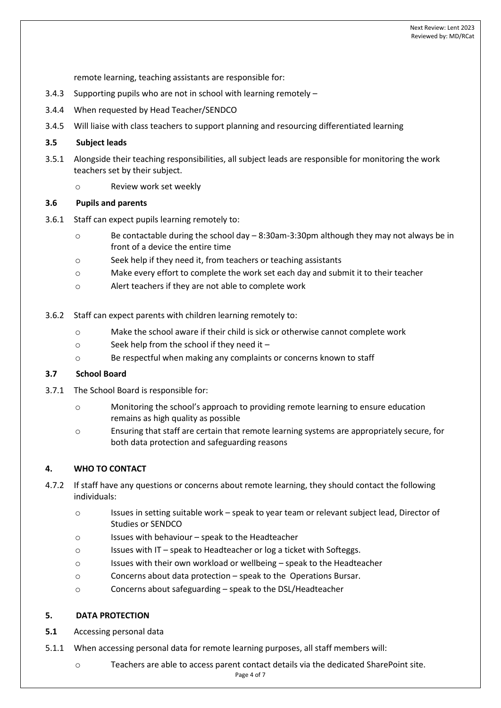remote learning, teaching assistants are responsible for:

- 3.4.3 Supporting pupils who are not in school with learning remotely –
- 3.4.4 When requested by Head Teacher/SENDCO
- 3.4.5 Will liaise with class teachers to support planning and resourcing differentiated learning

### **3.5 Subject leads**

- 3.5.1 Alongside their teaching responsibilities, all subject leads are responsible for monitoring the work teachers set by their subject.
	- o Review work set weekly

### **3.6 Pupils and parents**

- 3.6.1 Staff can expect pupils learning remotely to:
	- o Be contactable during the school day 8:30am-3:30pm although they may not always be in front of a device the entire time
	- o Seek help if they need it, from teachers or teaching assistants
	- o Make every effort to complete the work set each day and submit it to their teacher
	- o Alert teachers if they are not able to complete work
- 3.6.2 Staff can expect parents with children learning remotely to:
	- o Make the school aware if their child is sick or otherwise cannot complete work
	- o Seek help from the school if they need it –
	- o Be respectful when making any complaints or concerns known to staff

### **3.7 School Board**

- 3.7.1 The School Board is responsible for:
	- o Monitoring the school's approach to providing remote learning to ensure education remains as high quality as possible
	- o Ensuring that staff are certain that remote learning systems are appropriately secure, for both data protection and safeguarding reasons

# **4. WHO TO CONTACT**

- 4.7.2 If staff have any questions or concerns about remote learning, they should contact the following individuals:
	- o Issues in setting suitable work speak to year team or relevant subject lead, Director of Studies or SENDCO
	- o Issues with behaviour speak to the Headteacher
	- o Issues with IT speak to Headteacher or log a ticket with Softeggs.
	- o Issues with their own workload or wellbeing speak to the Headteacher
	- o Concerns about data protection speak to the Operations Bursar.
	- o Concerns about safeguarding speak to the DSL/Headteacher

# **5. DATA PROTECTION**

- **5.1** Accessing personal data
- 5.1.1 When accessing personal data for remote learning purposes, all staff members will:
	- o Teachers are able to access parent contact details via the dedicated SharePoint site.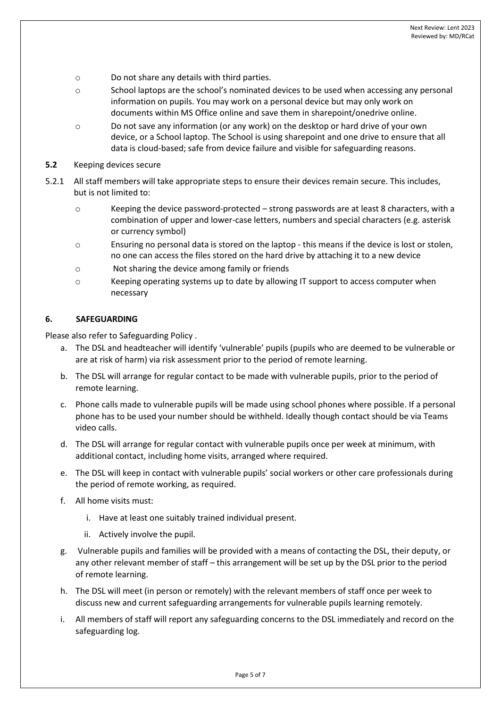- o Do not share any details with third parties.
- o School laptops are the school's nominated devices to be used when accessing any personal information on pupils. You may work on a personal device but may only work on documents within MS Office online and save them in sharepoint/onedrive online.
- o Do not save any information (or any work) on the desktop or hard drive of your own device, or a School laptop. The School is using sharepoint and one drive to ensure that all data is cloud-based; safe from device failure and visible for safeguarding reasons.
- **5.2** Keeping devices secure
- 5.2.1 All staff members will take appropriate steps to ensure their devices remain secure. This includes, but is not limited to:
	- o Keeping the device password-protected strong passwords are at least 8 characters, with a combination of upper and lower-case letters, numbers and special characters (e.g. asterisk or currency symbol)
	- o Ensuring no personal data is stored on the laptop this means if the device is lost or stolen, no one can access the files stored on the hard drive by attaching it to a new device
	- o Not sharing the device among family or friends
	- o Keeping operating systems up to date by allowing IT support to access computer when necessary

### **6. SAFEGUARDING**

Please also refer to Safeguarding Policy .

- a. The DSL and headteacher will identify 'vulnerable' pupils (pupils who are deemed to be vulnerable or are at risk of harm) via risk assessment prior to the period of remote learning.
- b. The DSL will arrange for regular contact to be made with vulnerable pupils, prior to the period of remote learning.
- c. Phone calls made to vulnerable pupils will be made using school phones where possible. If a personal phone has to be used your number should be withheld. Ideally though contact should be via Teams video calls.
- d. The DSL will arrange for regular contact with vulnerable pupils once per week at minimum, with additional contact, including home visits, arranged where required.
- e. The DSL will keep in contact with vulnerable pupils' social workers or other care professionals during the period of remote working, as required.
- f. All home visits must:
	- i. Have at least one suitably trained individual present.
	- ii. Actively involve the pupil.
- g. Vulnerable pupils and families will be provided with a means of contacting the DSL, their deputy, or any other relevant member of staff – this arrangement will be set up by the DSL prior to the period of remote learning.
- h. The DSL will meet (in person or remotely) with the relevant members of staff once per week to discuss new and current safeguarding arrangements for vulnerable pupils learning remotely.
- i. All members of staff will report any safeguarding concerns to the DSL immediately and record on the safeguarding log.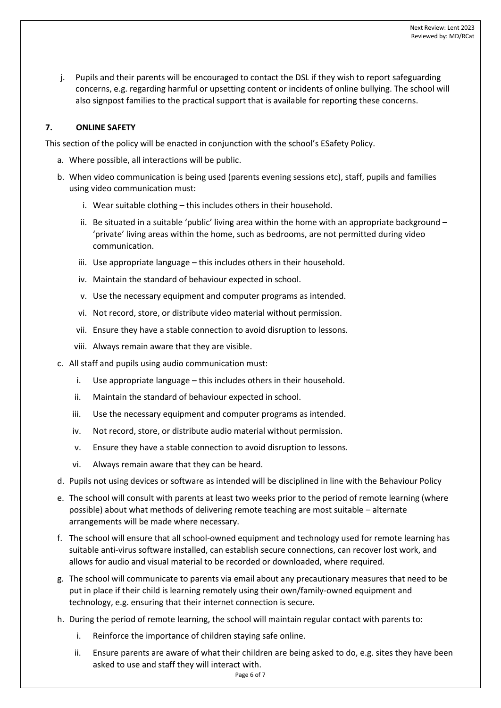j. Pupils and their parents will be encouraged to contact the DSL if they wish to report safeguarding concerns, e.g. regarding harmful or upsetting content or incidents of online bullying. The school will also signpost families to the practical support that is available for reporting these concerns.

# **7. ONLINE SAFETY**

This section of the policy will be enacted in conjunction with the school's ESafety Policy.

- a. Where possible, all interactions will be public.
- b. When video communication is being used (parents evening sessions etc), staff, pupils and families using video communication must:
	- i. Wear suitable clothing this includes others in their household.
	- ii. Be situated in a suitable 'public' living area within the home with an appropriate background  $-$ 'private' living areas within the home, such as bedrooms, are not permitted during video communication.
	- iii. Use appropriate language this includes others in their household.
	- iv. Maintain the standard of behaviour expected in school.
	- v. Use the necessary equipment and computer programs as intended.
	- vi. Not record, store, or distribute video material without permission.
	- vii. Ensure they have a stable connection to avoid disruption to lessons.
	- viii. Always remain aware that they are visible.
- c. All staff and pupils using audio communication must:
	- i. Use appropriate language this includes others in their household.
	- ii. Maintain the standard of behaviour expected in school.
	- iii. Use the necessary equipment and computer programs as intended.
	- iv. Not record, store, or distribute audio material without permission.
	- v. Ensure they have a stable connection to avoid disruption to lessons.
	- vi. Always remain aware that they can be heard.
- d. Pupils not using devices or software as intended will be disciplined in line with the Behaviour Policy
- e. The school will consult with parents at least two weeks prior to the period of remote learning (where possible) about what methods of delivering remote teaching are most suitable – alternate arrangements will be made where necessary.
- f. The school will ensure that all school-owned equipment and technology used for remote learning has suitable anti-virus software installed, can establish secure connections, can recover lost work, and allows for audio and visual material to be recorded or downloaded, where required.
- g. The school will communicate to parents via email about any precautionary measures that need to be put in place if their child is learning remotely using their own/family-owned equipment and technology, e.g. ensuring that their internet connection is secure.
- h. During the period of remote learning, the school will maintain regular contact with parents to:
	- i. Reinforce the importance of children staying safe online.
	- ii. Ensure parents are aware of what their children are being asked to do, e.g. sites they have been asked to use and staff they will interact with.